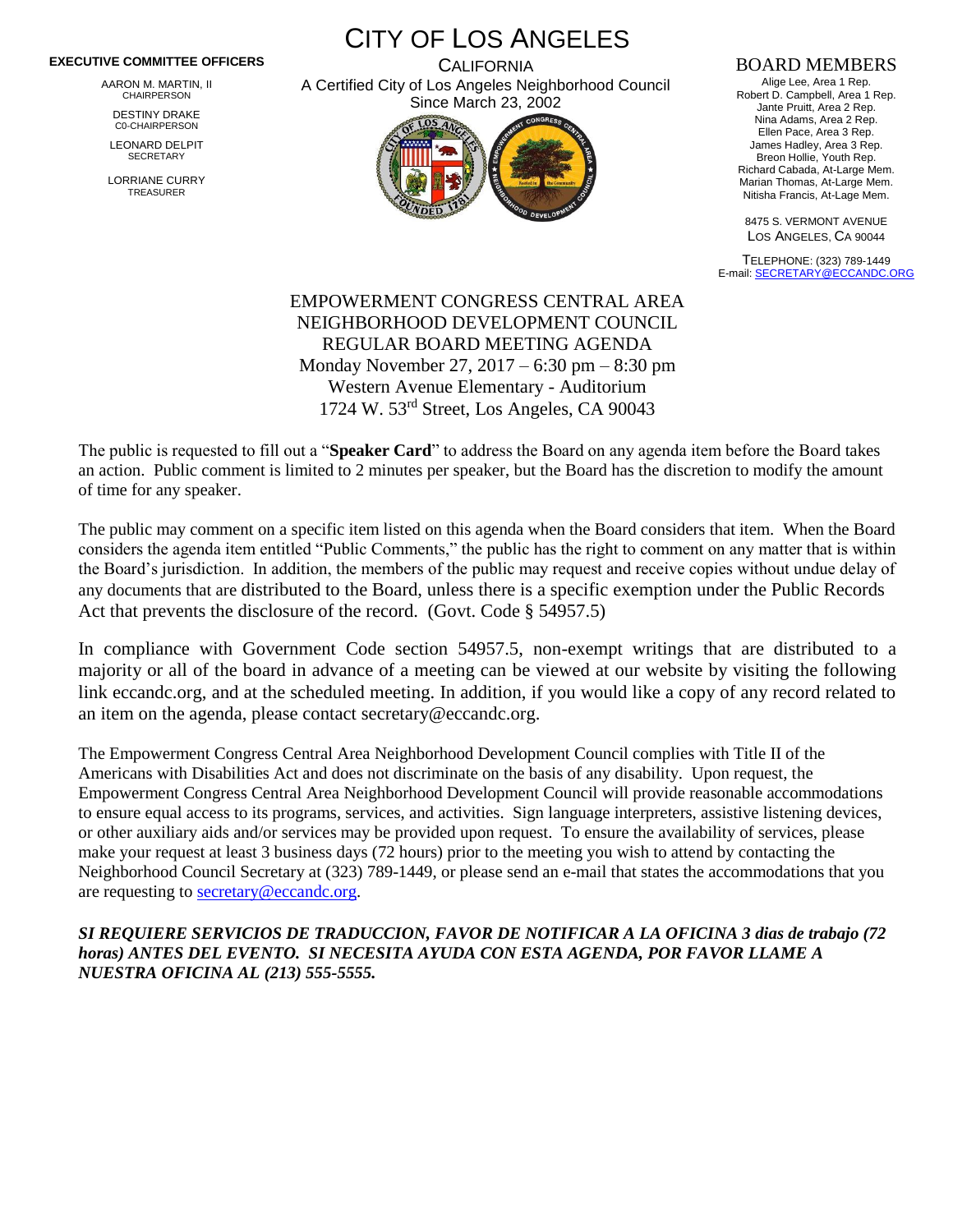## **EXECUTIVE COMMITTEE OFFICERS**

AARON M. MARTIN, II CHAIRPERSON

DESTINY DRAKE C0-CHAIRPERSON

LEONARD DELPIT **SECRETARY** 

LORRIANE CURRY TREASURER

CITY OF LOS ANGELES

**CALIFORNIA** A Certified City of Los Angeles Neighborhood Council Since March 23, 2002



## BOARD MEMBERS

Alige Lee, Area 1 Rep. Robert D. Campbell, Area 1 Rep. Jante Pruitt, Area 2 Rep. Nina Adams, Area 2 Rep. Ellen Pace, Area 3 Rep. James Hadley, Area 3 Rep. Breon Hollie, Youth Rep. Richard Cabada, At-Large Mem. Marian Thomas, At-Large Mem. Nitisha Francis, At-Lage Mem.

8475 S. VERMONT AVENUE LOS ANGELES, CA 90044

TELEPHONE: (323) 789-1449 E-mail[: SECRETARY@ECCANDC.ORG](mailto:SECRETARY@ECCANDC.ORG)

EMPOWERMENT CONGRESS CENTRAL AREA NEIGHBORHOOD DEVELOPMENT COUNCIL REGULAR BOARD MEETING AGENDA Monday November 27, 2017 – 6:30 pm – 8:30 pm Western Avenue Elementary - Auditorium 1724 W. 53rd Street, Los Angeles, CA 90043

The public is requested to fill out a "**Speaker Card**" to address the Board on any agenda item before the Board takes an action. Public comment is limited to 2 minutes per speaker, but the Board has the discretion to modify the amount of time for any speaker.

The public may comment on a specific item listed on this agenda when the Board considers that item. When the Board considers the agenda item entitled "Public Comments," the public has the right to comment on any matter that is within the Board's jurisdiction. In addition, the members of the public may request and receive copies without undue delay of any documents that are distributed to the Board, unless there is a specific exemption under the Public Records Act that prevents the disclosure of the record. (Govt. Code § 54957.5)

In compliance with Government Code section 54957.5, non-exempt writings that are distributed to a majority or all of the board in advance of a meeting can be viewed at our website by visiting the following link eccandc.org, and at the scheduled meeting. In addition, if you would like a copy of any record related to an item on the agenda, please contact secretary@eccandc.org.

The Empowerment Congress Central Area Neighborhood Development Council complies with Title II of the Americans with Disabilities Act and does not discriminate on the basis of any disability. Upon request, the Empowerment Congress Central Area Neighborhood Development Council will provide reasonable accommodations to ensure equal access to its programs, services, and activities. Sign language interpreters, assistive listening devices, or other auxiliary aids and/or services may be provided upon request. To ensure the availability of services, please make your request at least 3 business days (72 hours) prior to the meeting you wish to attend by contacting the Neighborhood Council Secretary at (323) 789-1449, or please send an e-mail that states the accommodations that you are requesting to [secretary@eccandc.org.](mailto:secretary@eccandc.org)

*SI REQUIERE SERVICIOS DE TRADUCCION, FAVOR DE NOTIFICAR A LA OFICINA 3 dias de trabajo (72 horas) ANTES DEL EVENTO. SI NECESITA AYUDA CON ESTA AGENDA, POR FAVOR LLAME A NUESTRA OFICINA AL (213) 555-5555.*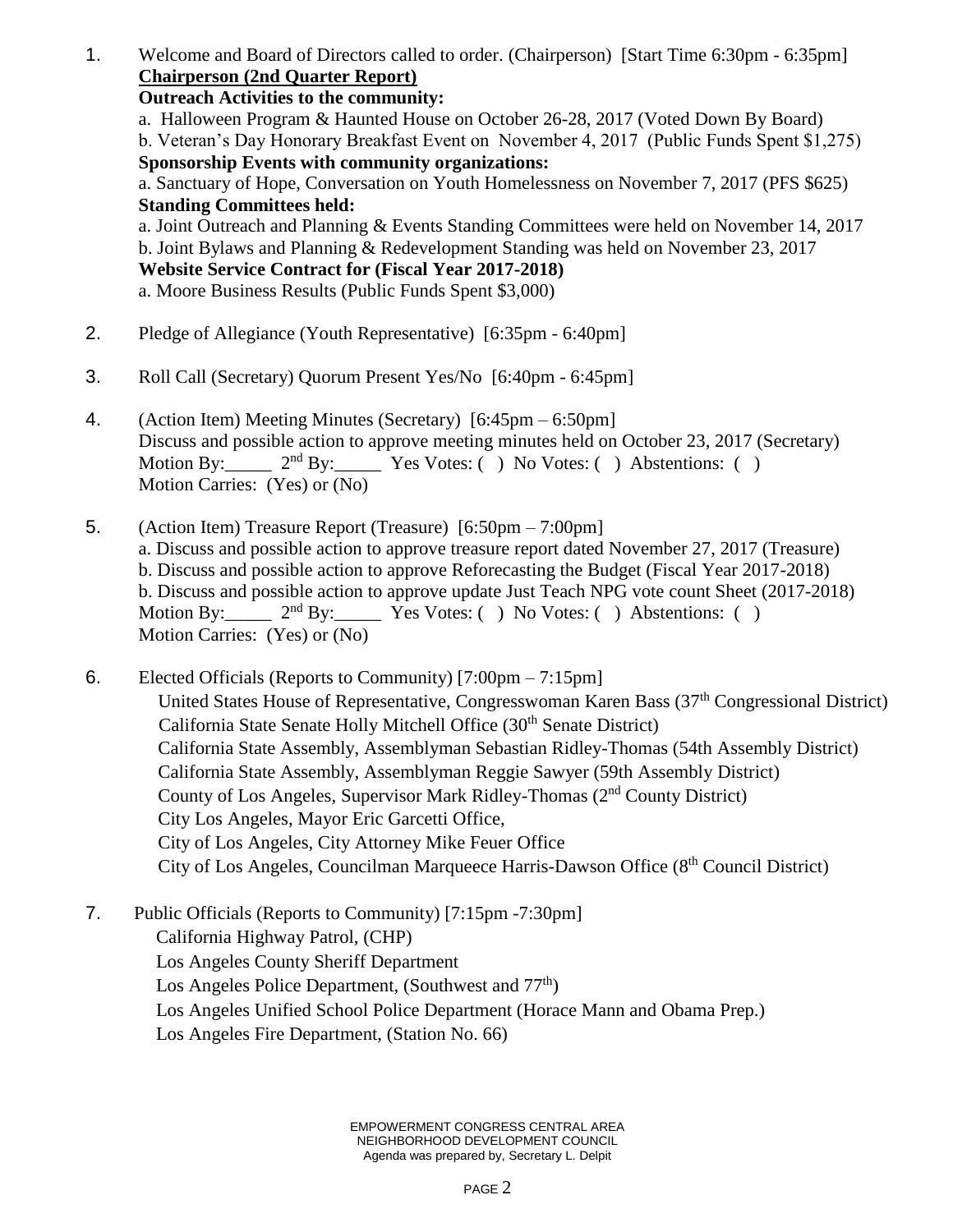1. Welcome and Board of Directors called to order. (Chairperson) [Start Time 6:30pm - 6:35pm] **Chairperson (2nd Quarter Report)**

**Outreach Activities to the community:**

a. Halloween Program & Haunted House on October 26-28, 2017 (Voted Down By Board)

b. Veteran's Day Honorary Breakfast Event on November 4, 2017 (Public Funds Spent \$1,275) **Sponsorship Events with community organizations:**

a. Sanctuary of Hope, Conversation on Youth Homelessness on November 7, 2017 (PFS \$625) **Standing Committees held:**

a. Joint Outreach and Planning & Events Standing Committees were held on November 14, 2017 b. Joint Bylaws and Planning & Redevelopment Standing was held on November 23, 2017 **Website Service Contract for (Fiscal Year 2017-2018)** a. Moore Business Results (Public Funds Spent \$3,000)

- 2. Pledge of Allegiance (Youth Representative) [6:35pm 6:40pm]
- 3. Roll Call (Secretary) Quorum Present Yes/No [6:40pm 6:45pm]
- 4. (Action Item) Meeting Minutes (Secretary) [6:45pm 6:50pm] Discuss and possible action to approve meeting minutes held on October 23, 2017 (Secretary) Motion By:  $2<sup>nd</sup>$  By: Yes Votes: ( ) No Votes: ( ) Abstentions: ( ) Motion Carries: (Yes) or (No)
- 5. (Action Item) Treasure Report (Treasure) [6:50pm 7:00pm] a. Discuss and possible action to approve treasure report dated November 27, 2017 (Treasure) b. Discuss and possible action to approve Reforecasting the Budget (Fiscal Year 2017-2018) b. Discuss and possible action to approve update Just Teach NPG vote count Sheet (2017-2018) Motion By:  $2<sup>nd</sup> By: Yes Votes: () No Votes: () Abstentions: ()$ Motion Carries: (Yes) or (No)
- 6. Elected Officials (Reports to Community) [7:00pm 7:15pm] United States House of Representative, Congresswoman Karen Bass (37<sup>th</sup> Congressional District) California State Senate Holly Mitchell Office (30<sup>th</sup> Senate District) California State Assembly, Assemblyman Sebastian Ridley-Thomas (54th Assembly District) California State Assembly, Assemblyman Reggie Sawyer (59th Assembly District) County of Los Angeles, Supervisor Mark Ridley-Thomas (2nd County District) City Los Angeles, Mayor Eric Garcetti Office, City of Los Angeles, City Attorney Mike Feuer Office City of Los Angeles, Councilman Marqueece Harris-Dawson Office (8<sup>th</sup> Council District)
- 7. Public Officials (Reports to Community) [7:15pm -7:30pm] California Highway Patrol, (CHP) Los Angeles County Sheriff Department Los Angeles Police Department, (Southwest and  $77<sup>th</sup>$ ) Los Angeles Unified School Police Department (Horace Mann and Obama Prep.) Los Angeles Fire Department, (Station No. 66)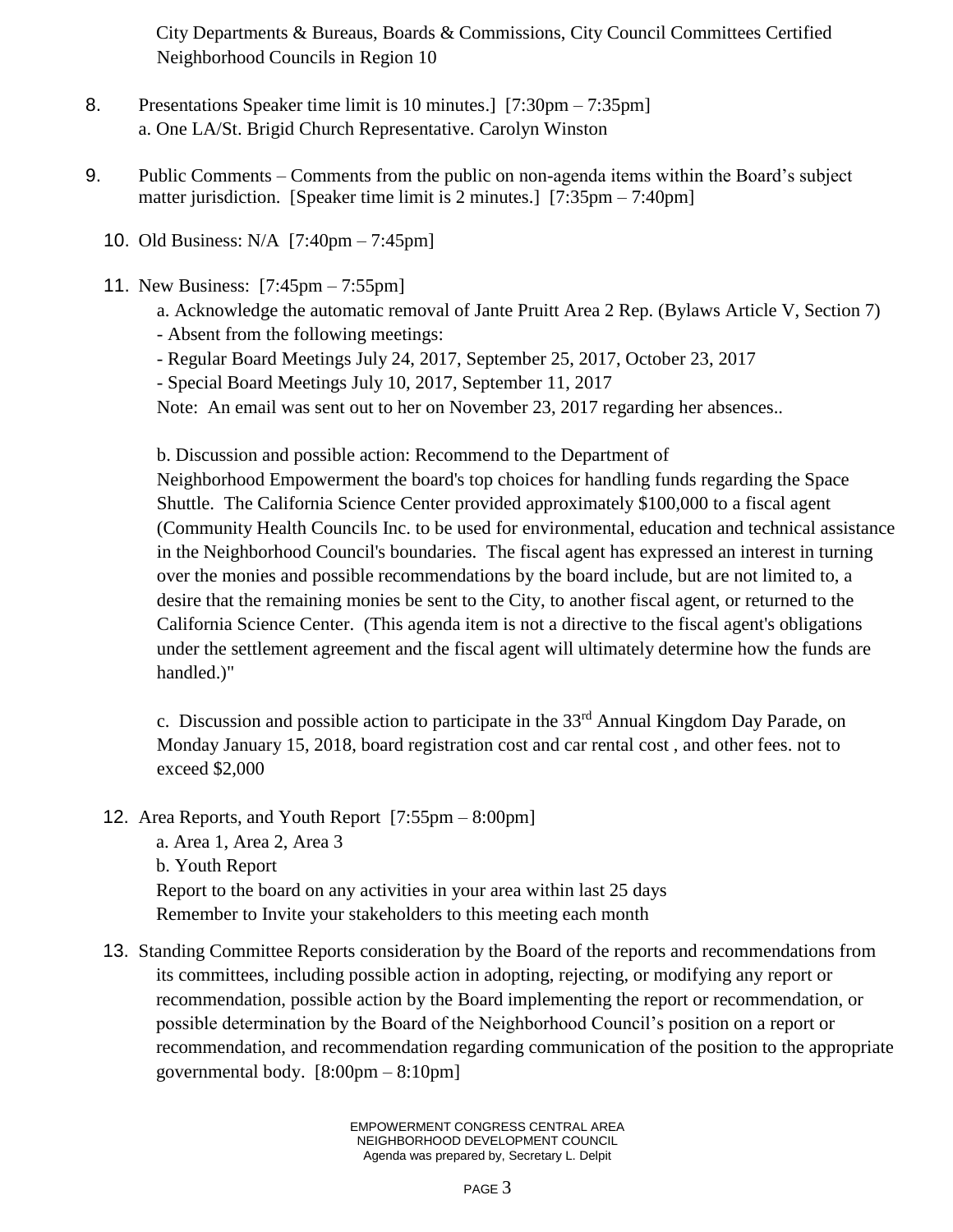City Departments & Bureaus, Boards & Commissions, City Council Committees Certified Neighborhood Councils in Region 10

- 8. Presentations Speaker time limit is 10 minutes.] [7:30pm 7:35pm] a. One LA/St. Brigid Church Representative. Carolyn Winston
- 9. Public Comments Comments from the public on non-agenda items within the Board's subject matter jurisdiction. [Speaker time limit is 2 minutes.] [7:35pm – 7:40pm]
	- 10. Old Business: N/A [7:40pm 7:45pm]
	- 11. New Business: [7:45pm 7:55pm]
		- a. Acknowledge the automatic removal of Jante Pruitt Area 2 Rep. (Bylaws Article V, Section 7)
		- Absent from the following meetings:
		- Regular Board Meetings July 24, 2017, September 25, 2017, October 23, 2017
		- Special Board Meetings July 10, 2017, September 11, 2017

Note: An email was sent out to her on November 23, 2017 regarding her absences..

b. Discussion and possible action: Recommend to the Department of

Neighborhood Empowerment the board's top choices for handling funds regarding the Space Shuttle. The California Science Center provided approximately \$100,000 to a fiscal agent (Community Health Councils Inc. to be used for environmental, education and technical assistance in the Neighborhood Council's boundaries. The fiscal agent has expressed an interest in turning over the monies and possible recommendations by the board include, but are not limited to, a desire that the remaining monies be sent to the City, to another fiscal agent, or returned to the California Science Center. (This agenda item is not a directive to the fiscal agent's obligations under the settlement agreement and the fiscal agent will ultimately determine how the funds are handled.)"

c. Discussion and possible action to participate in the  $33<sup>rd</sup>$  Annual Kingdom Day Parade, on Monday January 15, 2018, board registration cost and car rental cost , and other fees. not to exceed \$2,000

12. Area Reports, and Youth Report [7:55pm – 8:00pm]

a. Area 1, Area 2, Area 3 b. Youth Report Report to the board on any activities in your area within last 25 days Remember to Invite your stakeholders to this meeting each month

13. Standing Committee Reports consideration by the Board of the reports and recommendations from its committees, including possible action in adopting, rejecting, or modifying any report or recommendation, possible action by the Board implementing the report or recommendation, or possible determination by the Board of the Neighborhood Council's position on a report or recommendation, and recommendation regarding communication of the position to the appropriate governmental body. [8:00pm – 8:10pm]